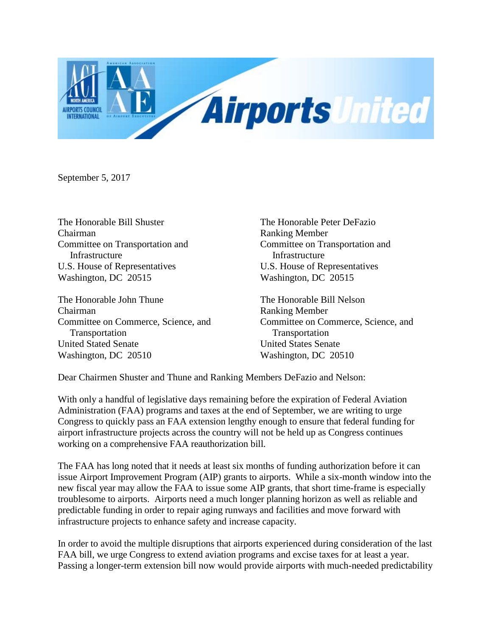

September 5, 2017

Chairman Ranking Member Committee on Transportation and Committee on Transportation and Infrastructure Infrastructure U.S. House of Representatives U.S. House of Representatives Washington, DC 20515 Washington, DC 20515

The Honorable John Thune The Honorable Bill Nelson Chairman Ranking Member Committee on Commerce, Science, and Committee on Commerce, Science, and Transportation Transportation United Stated Senate United States Senate Washington, DC 20510 Washington, DC 20510

The Honorable Bill Shuster The Honorable Peter DeFazio

Dear Chairmen Shuster and Thune and Ranking Members DeFazio and Nelson:

With only a handful of legislative days remaining before the expiration of Federal Aviation Administration (FAA) programs and taxes at the end of September, we are writing to urge Congress to quickly pass an FAA extension lengthy enough to ensure that federal funding for airport infrastructure projects across the country will not be held up as Congress continues working on a comprehensive FAA reauthorization bill.

The FAA has long noted that it needs at least six months of funding authorization before it can issue Airport Improvement Program (AIP) grants to airports. While a six-month window into the new fiscal year may allow the FAA to issue some AIP grants, that short time-frame is especially troublesome to airports. Airports need a much longer planning horizon as well as reliable and predictable funding in order to repair aging runways and facilities and move forward with infrastructure projects to enhance safety and increase capacity.

In order to avoid the multiple disruptions that airports experienced during consideration of the last FAA bill, we urge Congress to extend aviation programs and excise taxes for at least a year. Passing a longer-term extension bill now would provide airports with much-needed predictability